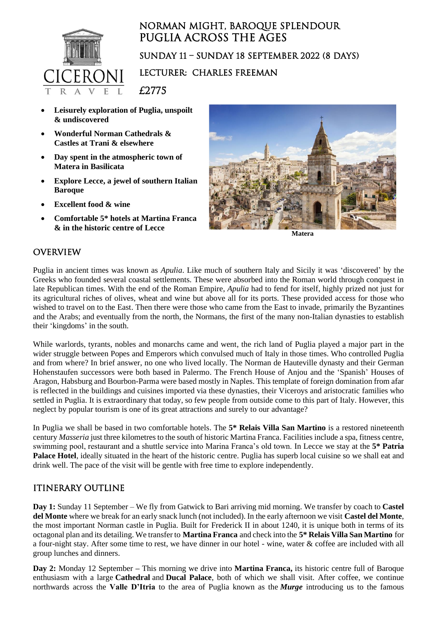

# Norman might, baroque splendour Puglia across the ages sunday 11 – Sunday 18 september 2022 (8 Days) Lecturer: charles freeman

£2775

- **Leisurely exploration of Puglia, unspoilt & undiscovered**
- **Wonderful Norman Cathedrals & Castles at Trani & elsewhere**
- **Day spent in the atmospheric town of Matera in Basilicata**
- **Explore Lecce, a jewel of southern Italian Baroque**
- **Excellent food & wine**
- **Comfortable 5\* hotels at Martina Franca & in the historic centre of Lecce**



**Matera**

### **OVERVIEW**

Puglia in ancient times was known as *Apulia*. Like much of southern Italy and Sicily it was 'discovered' by the Greeks who founded several coastal settlements. These were absorbed into the Roman world through conquest in late Republican times. With the end of the Roman Empire, *Apulia* had to fend for itself, highly prized not just for its agricultural riches of olives, wheat and wine but above all for its ports. These provided access for those who wished to travel on to the East. Then there were those who came from the East to invade, primarily the Byzantines and the Arabs; and eventually from the north, the Normans, the first of the many non-Italian dynasties to establish their 'kingdoms' in the south.

While warlords, tyrants, nobles and monarchs came and went, the rich land of Puglia played a major part in the wider struggle between Popes and Emperors which convulsed much of Italy in those times. Who controlled Puglia and from where? In brief answer, no one who lived locally. The Norman de Hauteville dynasty and their German Hohenstaufen successors were both based in Palermo. The French House of Anjou and the 'Spanish' Houses of Aragon, Habsburg and Bourbon-Parma were based mostly in Naples. This template of foreign domination from afar is reflected in the buildings and cuisines imported via these dynasties, their Viceroys and aristocratic families who settled in Puglia. It is extraordinary that today, so few people from outside come to this part of Italy. However, this neglect by popular tourism is one of its great attractions and surely to our advantage?

In Puglia we shall be based in two comfortable hotels. The **5\* Relais Villa San Martino** is a restored nineteenth century *Masseria* just three kilometres to the south of historic Martina Franca. Facilities include a spa, fitness centre, swimming pool, restaurant and a shuttle service into Marina Franca's old town. In Lecce we stay at the **5\* Patria Palace Hotel**, ideally situated in the heart of the historic centre. Puglia has superb local cuisine so we shall eat and drink well. The pace of the visit will be gentle with free time to explore independently.

#### ITINERARY OUTLINE

**Day 1:** Sunday 11 September – We fly from Gatwick to Bari arriving mid morning. We transfer by coach to **Castel del Monte** where we break for an early snack lunch (not included). In the early afternoon we visit **Castel del Monte**, the most important Norman castle in Puglia. Built for Frederick II in about 1240, it is unique both in terms of its octagonal plan and its detailing. We transfer to **Martina Franca** and check into the **5\* Relais Villa San Martino** for a four-night stay. After some time to rest, we have dinner in our hotel - wine, water & coffee are included with all group lunches and dinners.

**Day 2:** Monday 12 September **–** This morning we drive into **Martina Franca,** its historic centre full of Baroque enthusiasm with a large **Cathedral** and **Ducal Palace**, both of which we shall visit. After coffee, we continue northwards across the **Valle D'Itria** to the area of Puglia known as the *Murge* introducing us to the famous